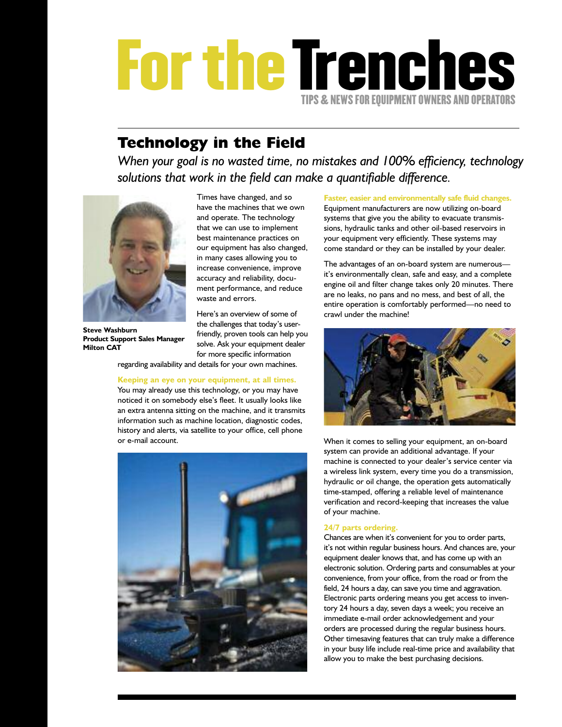## **FortheTrenches TIPS&NEWS FOR EQUIPMENT OWNERS AND OPERATORS**

### **Technology in the Field**

*When your goal is no wasted time, no mistakes and 100% efficiency, technology solutions that work in the field can make a quantifiable difference.*



**Steve Washburn Product Support Sales Manager Milton CAT**

Times have changed, and so have the machines that we own and operate. The technology that we can use to implement best maintenance practices on our equipment has also changed, in many cases allowing you to increase convenience, improve accuracy and reliability, document performance, and reduce waste and errors.

Here's an overview of some of the challenges that today's userfriendly, proven tools can help you solve. Ask your equipment dealer for more specific information

regarding availability and details for your own machines.

**Keeping an eye on your equipment, at all times.**

You may already use this technology, or you may have noticed it on somebody else's fleet. It usually looks like an extra antenna sitting on the machine, and it transmits information such as machine location, diagnostic codes, history and alerts, via satellite to your office, cell phone or e-mail account.



**Faster, easier and environmentally safe fluid changes.** Equipment manufacturers are now utilizing on-board systems that give you the ability to evacuate transmissions, hydraulic tanks and other oil-based reservoirs in your equipment very efficiently. These systems may come standard or they can be installed by your dealer.

The advantages of an on-board system are numerous it's environmentally clean, safe and easy, and a complete engine oil and filter change takes only 20 minutes. There are no leaks, no pans and no mess, and best of all, the entire operation is comfortably performed—no need to crawl under the machine!



When it comes to selling your equipment, an on-board system can provide an additional advantage. If your machine is connected to your dealer's service center via a wireless link system, every time you do a transmission, hydraulic or oil change, the operation gets automatically time-stamped, offering a reliable level of maintenance verification and record-keeping that increases the value of your machine.

### **24/7 parts ordering.**

Chances are when it's convenient for you to order parts, it's not within regular business hours. And chances are, your equipment dealer knows that, and has come up with an electronic solution. Ordering parts and consumables at your convenience, from your office, from the road or from the field, 24 hours a day, can save you time and aggravation. Electronic parts ordering means you get access to inventory 24 hours a day, seven days a week; you receive an immediate e-mail order acknowledgement and your orders are processed during the regular business hours. Other timesaving features that can truly make a difference in your busy life include real-time price and availability that allow you to make the best purchasing decisions.